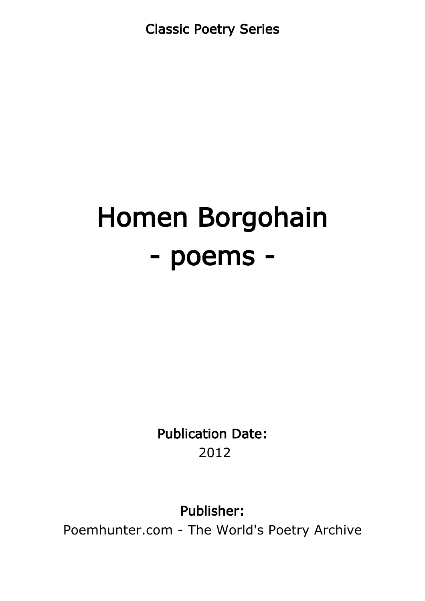Classic Poetry Series

# Homen Borgohain - poems -

Publication Date: 2012

Publisher:

Poemhunter.com - The World's Poetry Archive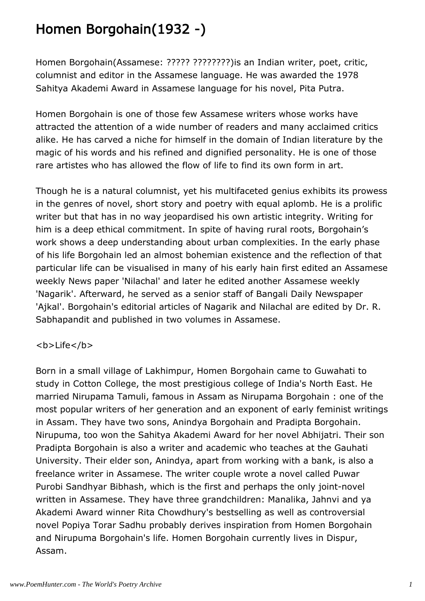## Homen Borgohain(1932 -)

Homen Borgohain(Assamese: ????? ????????)is an Indian writer, poet, critic, columnist and editor in the Assamese language. He was awarded the 1978 Sahitya Akademi Award in Assamese language for his novel, Pita Putra.

Homen Borgohain is one of those few Assamese writers whose works have attracted the attention of a wide number of readers and many acclaimed critics alike. He has carved a niche for himself in the domain of Indian literature by the magic of his words and his refined and dignified personality. He is one of those rare artistes who has allowed the flow of life to find its own form in art.

Though he is a natural columnist, yet his multifaceted genius exhibits its prowess in the genres of novel, short story and poetry with equal aplomb. He is a prolific writer but that has in no way jeopardised his own artistic integrity. Writing for him is a deep ethical commitment. In spite of having rural roots, Borgohain's work shows a deep understanding about urban complexities. In the early phase of his life Borgohain led an almost bohemian existence and the reflection of that particular life can be visualised in many of his early hain first edited an Assamese weekly News paper 'Nilachal' and later he edited another Assamese weekly 'Nagarik'. Afterward, he served as a senior staff of Bangali Daily Newspaper 'Ajkal'. Borgohain's editorial articles of Nagarik and Nilachal are edited by Dr. R. Sabhapandit and published in two volumes in Assamese.

#### <b>Life</b>

Born in a small village of Lakhimpur, Homen Borgohain came to Guwahati to study in Cotton College, the most prestigious college of India's North East. He married Nirupama Tamuli, famous in Assam as Nirupama Borgohain : one of the most popular writers of her generation and an exponent of early feminist writings in Assam. They have two sons, Anindya Borgohain and Pradipta Borgohain. Nirupuma, too won the Sahitya Akademi Award for her novel Abhijatri. Their son Pradipta Borgohain is also a writer and academic who teaches at the Gauhati University. Their elder son, Anindya, apart from working with a bank, is also a freelance writer in Assamese. The writer couple wrote a novel called Puwar Purobi Sandhyar Bibhash, which is the first and perhaps the only joint-novel written in Assamese. They have three grandchildren: Manalika, Jahnvi and ya Akademi Award winner Rita Chowdhury's bestselling as well as controversial novel Popiya Torar Sadhu probably derives inspiration from Homen Borgohain and Nirupuma Borgohain's life. Homen Borgohain currently lives in Dispur, Assam.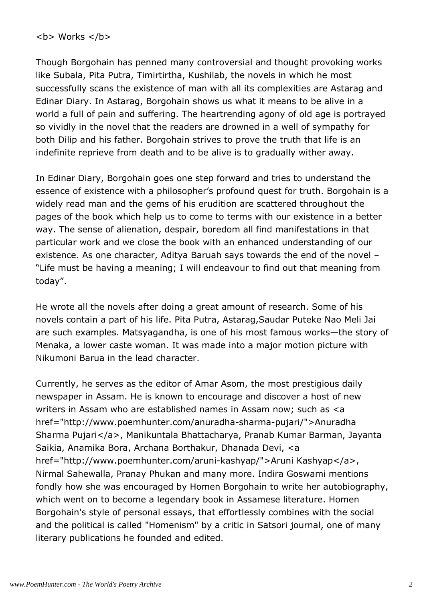$$ 

Though Borgohain has penned many controversial and thought provoking works like Subala, Pita Putra, Timirtirtha, Kushilab, the novels in which he most successfully scans the existence of man with all its complexities are Astarag and Edinar Diary. In Astarag, Borgohain shows us what it means to be alive in a world a full of pain and suffering. The heartrending agony of old age is portrayed so vividly in the novel that the readers are drowned in a well of sympathy for both Dilip and his father. Borgohain strives to prove the truth that life is an indefinite reprieve from death and to be alive is to gradually wither away.

In Edinar Diary, Borgohain goes one step forward and tries to understand the essence of existence with a philosopher's profound quest for truth. Borgohain is a widely read man and the gems of his erudition are scattered throughout the pages of the book which help us to come to terms with our existence in a better way. The sense of alienation, despair, boredom all find manifestations in that particular work and we close the book with an enhanced understanding of our existence. As one character, Aditya Baruah says towards the end of the novel – "Life must be having a meaning; I will endeavour to find out that meaning from today".

He wrote all the novels after doing a great amount of research. Some of his novels contain a part of his life. Pita Putra, Astarag,Saudar Puteke Nao Meli Jai are such examples. Matsyagandha, is one of his most famous works—the story of Menaka, a lower caste woman. It was made into a major motion picture with Nikumoni Barua in the lead character.

Currently, he serves as the editor of Amar Asom, the most prestigious daily newspaper in Assam. He is known to encourage and discover a host of new writers in Assam who are established names in Assam now; such as <a href="http://www.poemhunter.com/anuradha-sharma-pujari/">Anuradha Sharma Pujari</a>, Manikuntala Bhattacharya, Pranab Kumar Barman, Jayanta Saikia, Anamika Bora, Archana Borthakur, Dhanada Devi, <a href="http://www.poemhunter.com/aruni-kashyap/">Aruni Kashyap</a>, Nirmal Sahewalla, Pranay Phukan and many more. Indira Goswami mentions fondly how she was encouraged by Homen Borgohain to write her autobiography, which went on to become a legendary book in Assamese literature. Homen Borgohain's style of personal essays, that effortlessly combines with the social and the political is called "Homenism" by a critic in Satsori journal, one of many literary publications he founded and edited.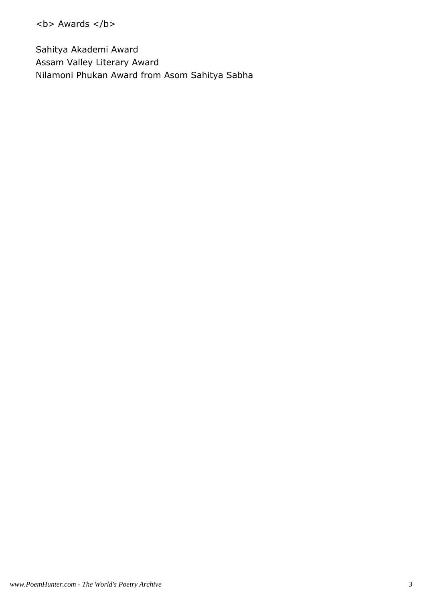<b> Awards </b>

Sahitya Akademi Award Assam Valley Literary Award Nilamoni Phukan Award from Asom Sahitya Sabha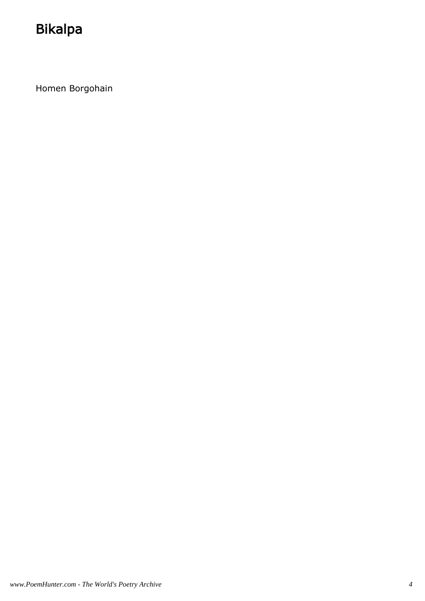## Bikalpa

Homen Borgohain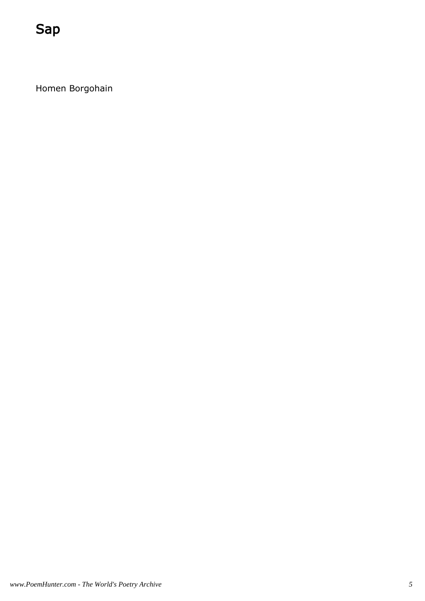Homen Borgohain